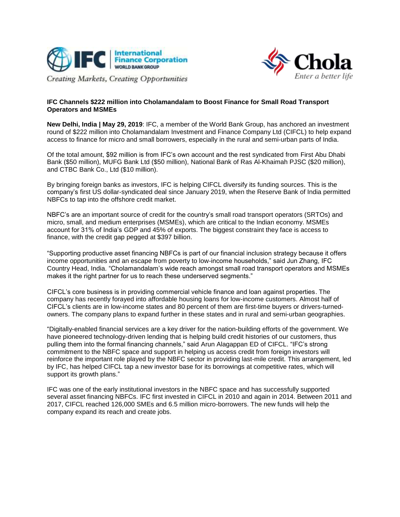



## **IFC Channels \$222 million into Cholamandalam to Boost Finance for Small Road Transport Operators and MSMEs**

**New Delhi, India | May 29, 2019**: IFC, a member of the World Bank Group, has anchored an investment round of \$222 million into Cholamandalam Investment and Finance Company Ltd (CIFCL) to help expand access to finance for micro and small borrowers, especially in the rural and semi-urban parts of India.

Of the total amount, \$92 million is from IFC's own account and the rest syndicated from First Abu Dhabi Bank (\$50 million), MUFG Bank Ltd (\$50 million), National Bank of Ras Al-Khaimah PJSC (\$20 million), and CTBC Bank Co., Ltd (\$10 million).

By bringing foreign banks as investors, IFC is helping CIFCL diversify its funding sources. This is the company's first US dollar-syndicated deal since January 2019, when the Reserve Bank of India permitted NBFCs to tap into the offshore credit market.

NBFC's are an important source of credit for the country's small road transport operators (SRTOs) and micro, small, and medium enterprises (MSMEs), which are critical to the Indian economy. MSMEs account for 31% of India's GDP and 45% of exports. The biggest constraint they face is access to finance, with the credit gap pegged at \$397 billion.

"Supporting productive asset financing NBFCs is part of our financial inclusion strategy because it offers income opportunities and an escape from poverty to low-income households," said Jun Zhang, IFC Country Head, India. "Cholamandalam's wide reach amongst small road transport operators and MSMEs makes it the right partner for us to reach these underserved segments."

CIFCL's core business is in providing commercial vehicle finance and loan against properties. The company has recently forayed into affordable housing loans for low-income customers. Almost half of CIFCL's clients are in low-income states and 80 percent of them are first-time buyers or drivers-turnedowners. The company plans to expand further in these states and in rural and semi-urban geographies.

"Digitally-enabled financial services are a key driver for the nation-building efforts of the government. We have pioneered technology-driven lending that is helping build credit histories of our customers, thus pulling them into the formal financing channels," said Arun Alagappan ED of CIFCL. "IFC's strong commitment to the NBFC space and support in helping us access credit from foreign investors will reinforce the important role played by the NBFC sector in providing last-mile credit. This arrangement, led by IFC, has helped CIFCL tap a new investor base for its borrowings at competitive rates, which will support its growth plans."

IFC was one of the early institutional investors in the NBFC space and has successfully supported several asset financing NBFCs. IFC first invested in CIFCL in 2010 and again in 2014. Between 2011 and 2017, CIFCL reached 126,000 SMEs and 6.5 million micro-borrowers. The new funds will help the company expand its reach and create jobs.